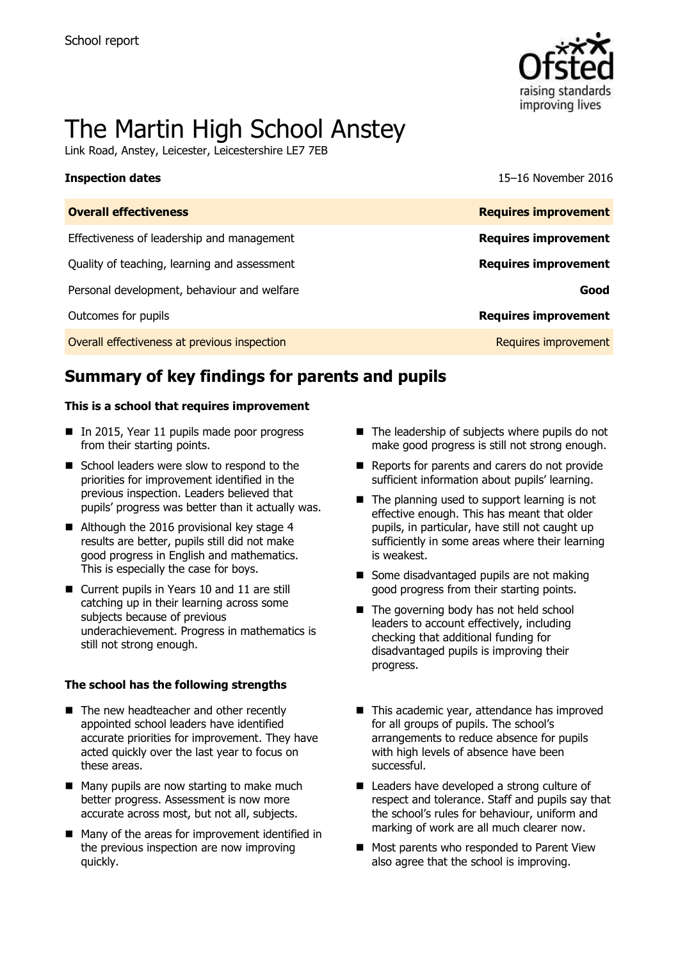

# The Martin High School Anstey

Link Road, Anstey, Leicester, Leicestershire LE7 7EB

**Inspection dates** 15–16 November 2016

| <b>Overall effectiveness</b>                 | <b>Requires improvement</b> |
|----------------------------------------------|-----------------------------|
| Effectiveness of leadership and management   | <b>Requires improvement</b> |
| Quality of teaching, learning and assessment | <b>Requires improvement</b> |
| Personal development, behaviour and welfare  | Good                        |
| Outcomes for pupils                          | <b>Requires improvement</b> |
| Overall effectiveness at previous inspection | Requires improvement        |

# **Summary of key findings for parents and pupils**

#### **This is a school that requires improvement**

- In 2015, Year 11 pupils made poor progress from their starting points.
- School leaders were slow to respond to the priorities for improvement identified in the previous inspection. Leaders believed that pupils' progress was better than it actually was.
- Although the 2016 provisional key stage 4 results are better, pupils still did not make good progress in English and mathematics. This is especially the case for boys.
- Current pupils in Years 10 and 11 are still catching up in their learning across some subjects because of previous underachievement. Progress in mathematics is still not strong enough.

#### **The school has the following strengths**

- The new headteacher and other recently appointed school leaders have identified accurate priorities for improvement. They have acted quickly over the last year to focus on these areas.
- Many pupils are now starting to make much better progress. Assessment is now more accurate across most, but not all, subjects.
- Many of the areas for improvement identified in the previous inspection are now improving quickly.
- $\blacksquare$  The leadership of subjects where pupils do not make good progress is still not strong enough.
- Reports for parents and carers do not provide sufficient information about pupils' learning.
- $\blacksquare$  The planning used to support learning is not effective enough. This has meant that older pupils, in particular, have still not caught up sufficiently in some areas where their learning is weakest.
- Some disadvantaged pupils are not making good progress from their starting points.
- The governing body has not held school leaders to account effectively, including checking that additional funding for disadvantaged pupils is improving their progress.
- This academic year, attendance has improved for all groups of pupils. The school's arrangements to reduce absence for pupils with high levels of absence have been successful.
- Leaders have developed a strong culture of respect and tolerance. Staff and pupils say that the school's rules for behaviour, uniform and marking of work are all much clearer now.
- **Most parents who responded to Parent View** also agree that the school is improving.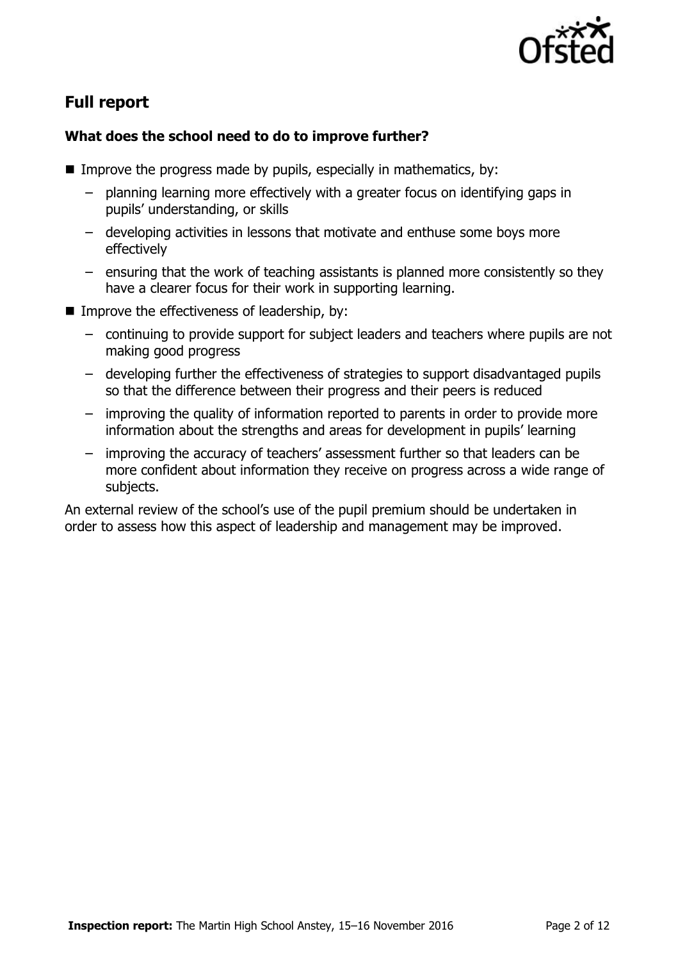

# **Full report**

### **What does the school need to do to improve further?**

- Improve the progress made by pupils, especially in mathematics, by:
	- planning learning more effectively with a greater focus on identifying gaps in pupils' understanding, or skills
	- developing activities in lessons that motivate and enthuse some boys more effectively
	- ensuring that the work of teaching assistants is planned more consistently so they have a clearer focus for their work in supporting learning.
- **IMPROVE the effectiveness of leadership, by:** 
	- continuing to provide support for subject leaders and teachers where pupils are not making good progress
	- developing further the effectiveness of strategies to support disadvantaged pupils so that the difference between their progress and their peers is reduced
	- improving the quality of information reported to parents in order to provide more information about the strengths and areas for development in pupils' learning
	- improving the accuracy of teachers' assessment further so that leaders can be more confident about information they receive on progress across a wide range of subjects.

An external review of the school's use of the pupil premium should be undertaken in order to assess how this aspect of leadership and management may be improved.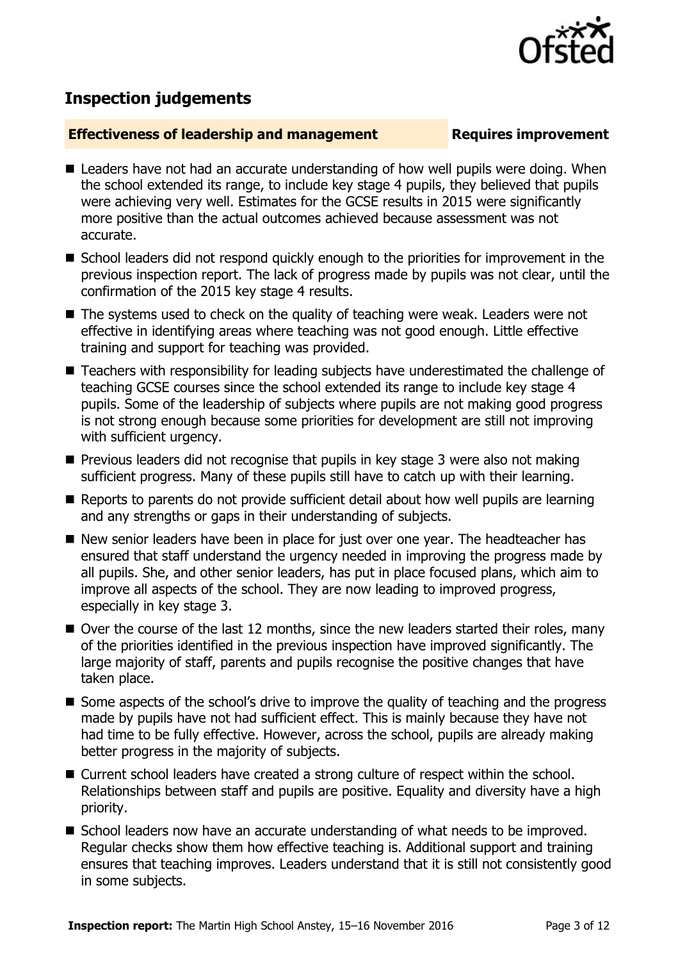

## **Inspection judgements**

#### **Effectiveness of leadership and management Requires improvement**

- Leaders have not had an accurate understanding of how well pupils were doing. When the school extended its range, to include key stage 4 pupils, they believed that pupils were achieving very well. Estimates for the GCSE results in 2015 were significantly more positive than the actual outcomes achieved because assessment was not accurate.
- School leaders did not respond quickly enough to the priorities for improvement in the previous inspection report. The lack of progress made by pupils was not clear, until the confirmation of the 2015 key stage 4 results.
- The systems used to check on the quality of teaching were weak. Leaders were not effective in identifying areas where teaching was not good enough. Little effective training and support for teaching was provided.
- Teachers with responsibility for leading subjects have underestimated the challenge of teaching GCSE courses since the school extended its range to include key stage 4 pupils. Some of the leadership of subjects where pupils are not making good progress is not strong enough because some priorities for development are still not improving with sufficient urgency.
- $\blacksquare$  Previous leaders did not recognise that pupils in key stage 3 were also not making sufficient progress. Many of these pupils still have to catch up with their learning.
- Reports to parents do not provide sufficient detail about how well pupils are learning and any strengths or gaps in their understanding of subjects.
- New senior leaders have been in place for just over one year. The headteacher has ensured that staff understand the urgency needed in improving the progress made by all pupils. She, and other senior leaders, has put in place focused plans, which aim to improve all aspects of the school. They are now leading to improved progress, especially in key stage 3.
- Over the course of the last 12 months, since the new leaders started their roles, many of the priorities identified in the previous inspection have improved significantly. The large majority of staff, parents and pupils recognise the positive changes that have taken place.
- Some aspects of the school's drive to improve the quality of teaching and the progress made by pupils have not had sufficient effect. This is mainly because they have not had time to be fully effective. However, across the school, pupils are already making better progress in the majority of subjects.
- Current school leaders have created a strong culture of respect within the school. Relationships between staff and pupils are positive. Equality and diversity have a high priority.
- School leaders now have an accurate understanding of what needs to be improved. Regular checks show them how effective teaching is. Additional support and training ensures that teaching improves. Leaders understand that it is still not consistently good in some subjects.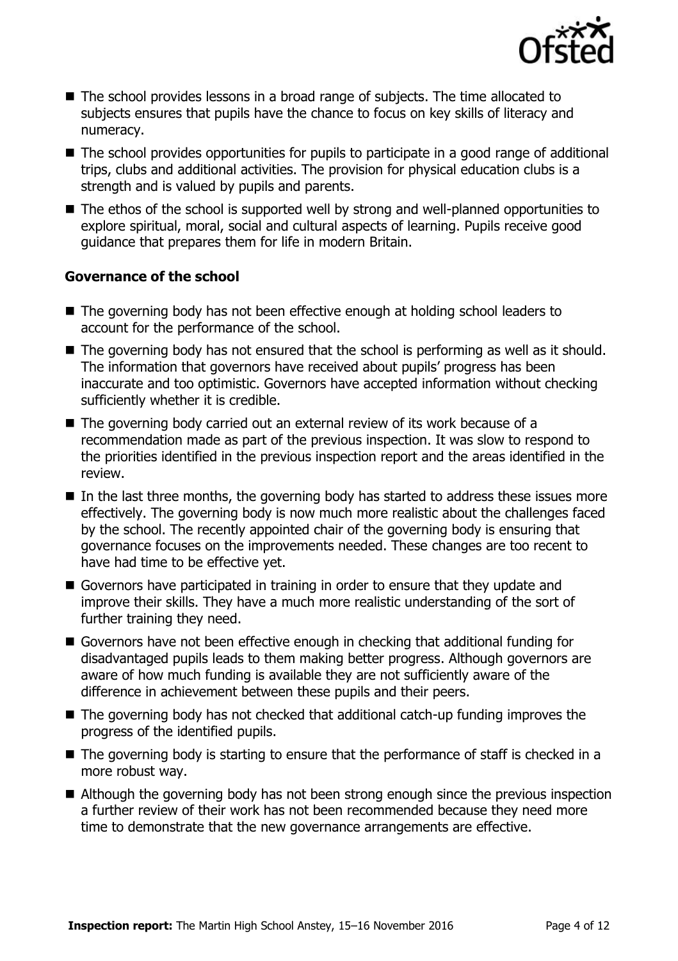

- The school provides lessons in a broad range of subjects. The time allocated to subjects ensures that pupils have the chance to focus on key skills of literacy and numeracy.
- The school provides opportunities for pupils to participate in a good range of additional trips, clubs and additional activities. The provision for physical education clubs is a strength and is valued by pupils and parents.
- The ethos of the school is supported well by strong and well-planned opportunities to explore spiritual, moral, social and cultural aspects of learning. Pupils receive good guidance that prepares them for life in modern Britain.

#### **Governance of the school**

- The governing body has not been effective enough at holding school leaders to account for the performance of the school.
- The governing body has not ensured that the school is performing as well as it should. The information that governors have received about pupils' progress has been inaccurate and too optimistic. Governors have accepted information without checking sufficiently whether it is credible.
- The governing body carried out an external review of its work because of a recommendation made as part of the previous inspection. It was slow to respond to the priorities identified in the previous inspection report and the areas identified in the review.
- $\blacksquare$  In the last three months, the governing body has started to address these issues more effectively. The governing body is now much more realistic about the challenges faced by the school. The recently appointed chair of the governing body is ensuring that governance focuses on the improvements needed. These changes are too recent to have had time to be effective yet.
- Governors have participated in training in order to ensure that they update and improve their skills. They have a much more realistic understanding of the sort of further training they need.
- Governors have not been effective enough in checking that additional funding for disadvantaged pupils leads to them making better progress. Although governors are aware of how much funding is available they are not sufficiently aware of the difference in achievement between these pupils and their peers.
- The governing body has not checked that additional catch-up funding improves the progress of the identified pupils.
- The governing body is starting to ensure that the performance of staff is checked in a more robust way.
- Although the governing body has not been strong enough since the previous inspection a further review of their work has not been recommended because they need more time to demonstrate that the new governance arrangements are effective.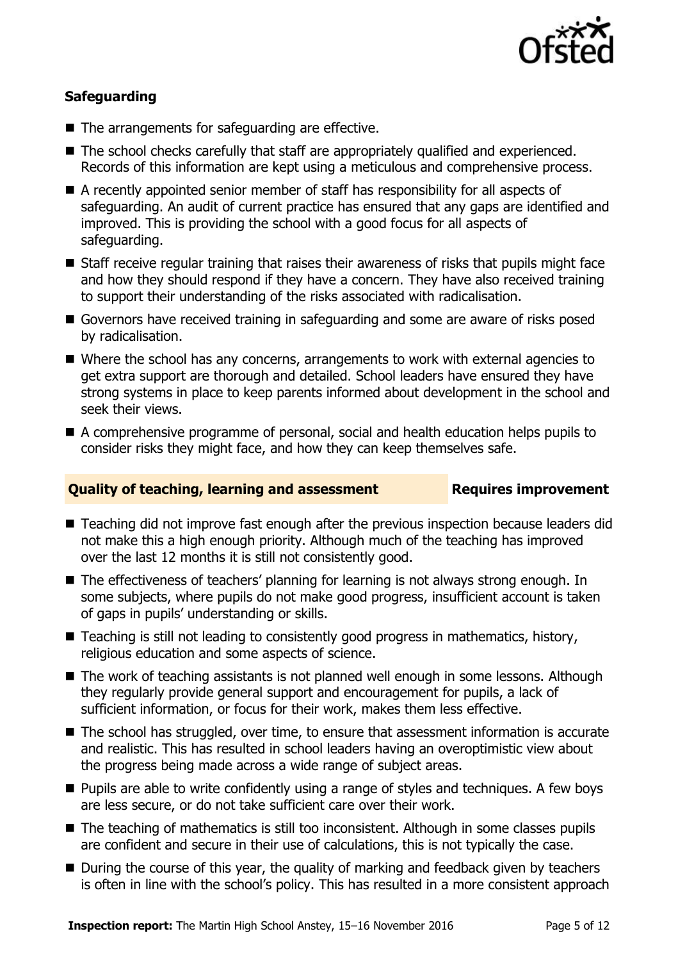

### **Safeguarding**

- The arrangements for safeguarding are effective.
- The school checks carefully that staff are appropriately qualified and experienced. Records of this information are kept using a meticulous and comprehensive process.
- A recently appointed senior member of staff has responsibility for all aspects of safeguarding. An audit of current practice has ensured that any gaps are identified and improved. This is providing the school with a good focus for all aspects of safeguarding.
- Staff receive regular training that raises their awareness of risks that pupils might face and how they should respond if they have a concern. They have also received training to support their understanding of the risks associated with radicalisation.
- Governors have received training in safeguarding and some are aware of risks posed by radicalisation.
- Where the school has any concerns, arrangements to work with external agencies to get extra support are thorough and detailed. School leaders have ensured they have strong systems in place to keep parents informed about development in the school and seek their views.
- A comprehensive programme of personal, social and health education helps pupils to consider risks they might face, and how they can keep themselves safe.

### **Quality of teaching, learning and assessment Requires improvement**

- Teaching did not improve fast enough after the previous inspection because leaders did not make this a high enough priority. Although much of the teaching has improved over the last 12 months it is still not consistently good.
- The effectiveness of teachers' planning for learning is not always strong enough. In some subjects, where pupils do not make good progress, insufficient account is taken of gaps in pupils' understanding or skills.
- Teaching is still not leading to consistently good progress in mathematics, history, religious education and some aspects of science.
- The work of teaching assistants is not planned well enough in some lessons. Although they regularly provide general support and encouragement for pupils, a lack of sufficient information, or focus for their work, makes them less effective.
- The school has struggled, over time, to ensure that assessment information is accurate and realistic. This has resulted in school leaders having an overoptimistic view about the progress being made across a wide range of subject areas.
- **Pupils are able to write confidently using a range of styles and techniques. A few boys** are less secure, or do not take sufficient care over their work.
- The teaching of mathematics is still too inconsistent. Although in some classes pupils are confident and secure in their use of calculations, this is not typically the case.
- During the course of this year, the quality of marking and feedback given by teachers is often in line with the school's policy. This has resulted in a more consistent approach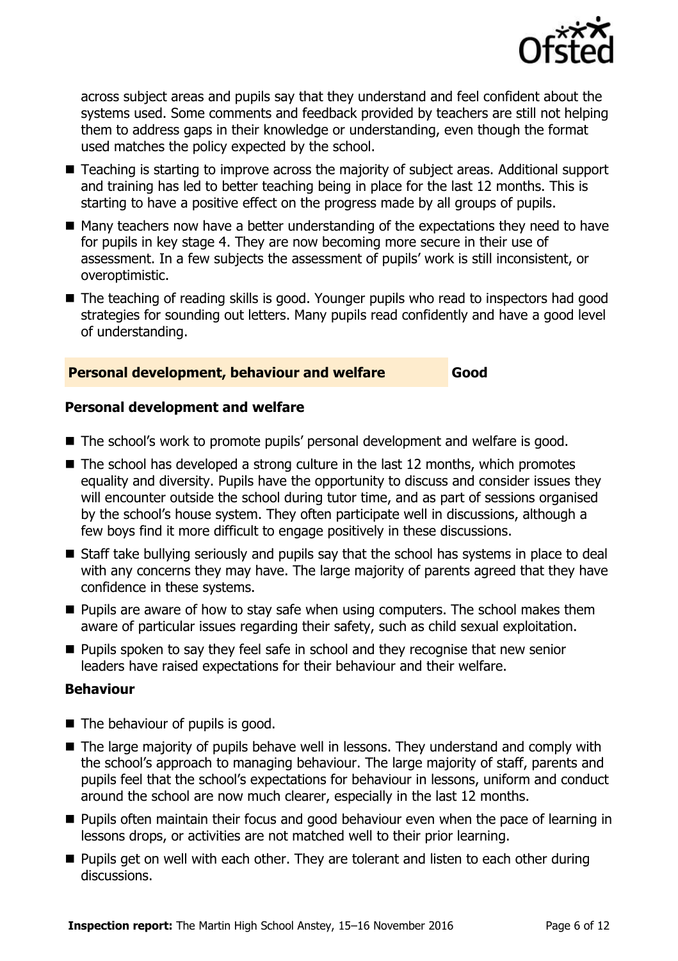

across subject areas and pupils say that they understand and feel confident about the systems used. Some comments and feedback provided by teachers are still not helping them to address gaps in their knowledge or understanding, even though the format used matches the policy expected by the school.

- Teaching is starting to improve across the majority of subject areas. Additional support and training has led to better teaching being in place for the last 12 months. This is starting to have a positive effect on the progress made by all groups of pupils.
- Many teachers now have a better understanding of the expectations they need to have for pupils in key stage 4. They are now becoming more secure in their use of assessment. In a few subjects the assessment of pupils' work is still inconsistent, or overoptimistic.
- The teaching of reading skills is good. Younger pupils who read to inspectors had good strategies for sounding out letters. Many pupils read confidently and have a good level of understanding.

#### **Personal development, behaviour and welfare Good**

#### **Personal development and welfare**

- The school's work to promote pupils' personal development and welfare is good.
- $\blacksquare$  The school has developed a strong culture in the last 12 months, which promotes equality and diversity. Pupils have the opportunity to discuss and consider issues they will encounter outside the school during tutor time, and as part of sessions organised by the school's house system. They often participate well in discussions, although a few boys find it more difficult to engage positively in these discussions.
- Staff take bullying seriously and pupils say that the school has systems in place to deal with any concerns they may have. The large majority of parents agreed that they have confidence in these systems.
- **Pupils are aware of how to stay safe when using computers. The school makes them** aware of particular issues regarding their safety, such as child sexual exploitation.
- **Pupils spoken to say they feel safe in school and they recognise that new senior** leaders have raised expectations for their behaviour and their welfare.

#### **Behaviour**

- The behaviour of pupils is good.
- The large majority of pupils behave well in lessons. They understand and comply with the school's approach to managing behaviour. The large majority of staff, parents and pupils feel that the school's expectations for behaviour in lessons, uniform and conduct around the school are now much clearer, especially in the last 12 months.
- **Pupils often maintain their focus and good behaviour even when the pace of learning in** lessons drops, or activities are not matched well to their prior learning.
- **Pupils get on well with each other. They are tolerant and listen to each other during** discussions.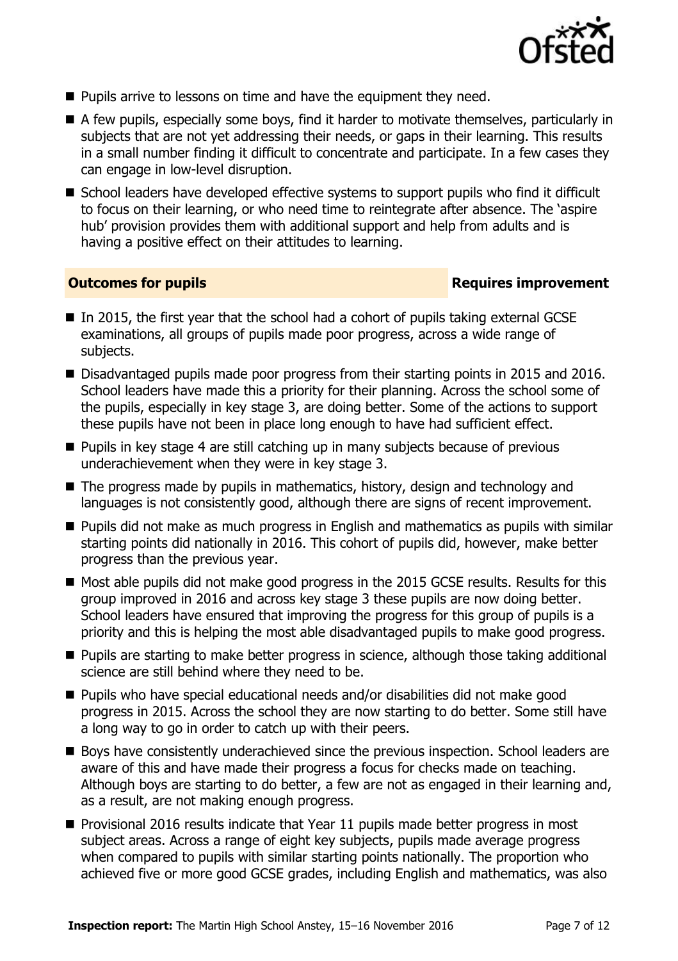

- **Pupils arrive to lessons on time and have the equipment they need.**
- A few pupils, especially some boys, find it harder to motivate themselves, particularly in subjects that are not yet addressing their needs, or gaps in their learning. This results in a small number finding it difficult to concentrate and participate. In a few cases they can engage in low-level disruption.
- School leaders have developed effective systems to support pupils who find it difficult to focus on their learning, or who need time to reintegrate after absence. The 'aspire hub' provision provides them with additional support and help from adults and is having a positive effect on their attitudes to learning.

#### **Outcomes for pupils Requires improvement**

- $\blacksquare$  In 2015, the first year that the school had a cohort of pupils taking external GCSE examinations, all groups of pupils made poor progress, across a wide range of subjects.
- Disadvantaged pupils made poor progress from their starting points in 2015 and 2016. School leaders have made this a priority for their planning. Across the school some of the pupils, especially in key stage 3, are doing better. Some of the actions to support these pupils have not been in place long enough to have had sufficient effect.
- $\blacksquare$  Pupils in key stage 4 are still catching up in many subjects because of previous underachievement when they were in key stage 3.
- The progress made by pupils in mathematics, history, design and technology and languages is not consistently good, although there are signs of recent improvement.
- **Pupils did not make as much progress in English and mathematics as pupils with similar** starting points did nationally in 2016. This cohort of pupils did, however, make better progress than the previous year.
- Most able pupils did not make good progress in the 2015 GCSE results. Results for this group improved in 2016 and across key stage 3 these pupils are now doing better. School leaders have ensured that improving the progress for this group of pupils is a priority and this is helping the most able disadvantaged pupils to make good progress.
- **Pupils are starting to make better progress in science, although those taking additional** science are still behind where they need to be.
- Pupils who have special educational needs and/or disabilities did not make good progress in 2015. Across the school they are now starting to do better. Some still have a long way to go in order to catch up with their peers.
- Boys have consistently underachieved since the previous inspection. School leaders are aware of this and have made their progress a focus for checks made on teaching. Although boys are starting to do better, a few are not as engaged in their learning and, as a result, are not making enough progress.
- **Provisional 2016 results indicate that Year 11 pupils made better progress in most** subject areas. Across a range of eight key subjects, pupils made average progress when compared to pupils with similar starting points nationally. The proportion who achieved five or more good GCSE grades, including English and mathematics, was also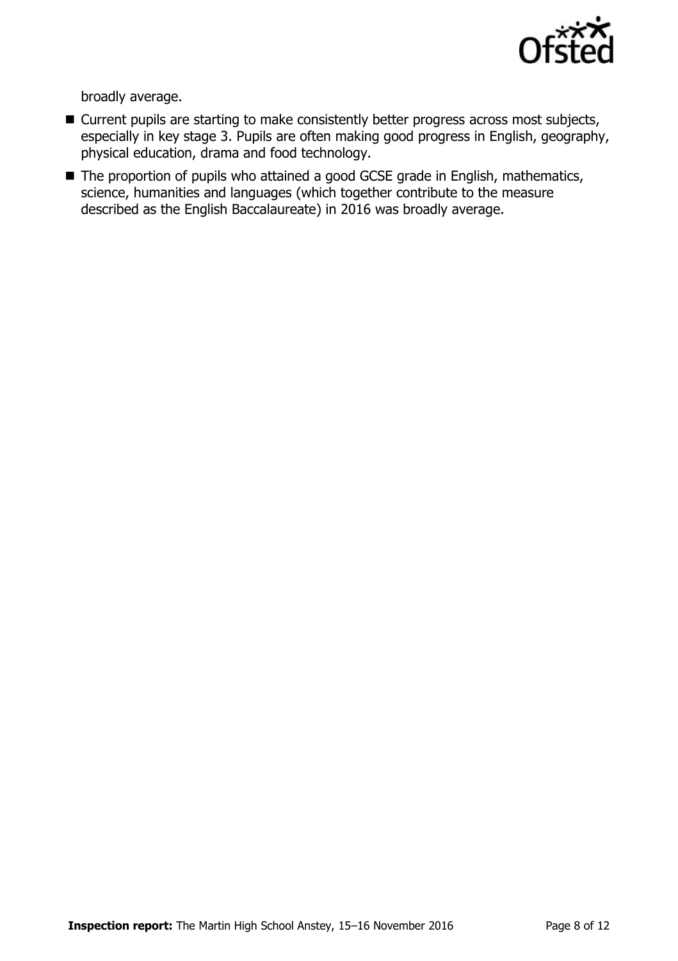

broadly average.

- Current pupils are starting to make consistently better progress across most subjects, especially in key stage 3. Pupils are often making good progress in English, geography, physical education, drama and food technology.
- The proportion of pupils who attained a good GCSE grade in English, mathematics, science, humanities and languages (which together contribute to the measure described as the English Baccalaureate) in 2016 was broadly average.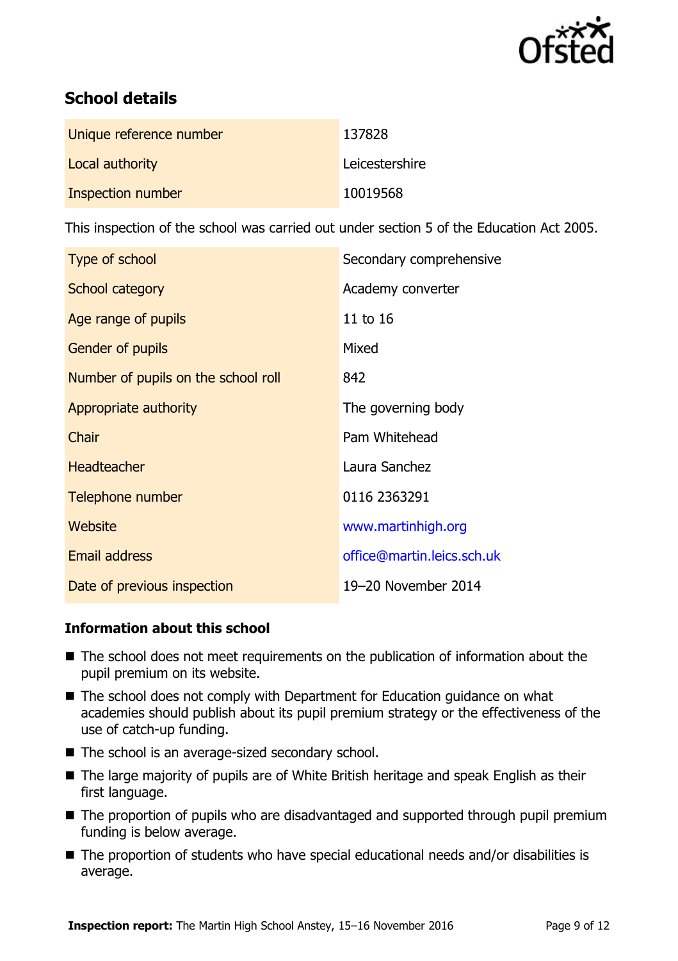

# **School details**

| Unique reference number | 137828         |
|-------------------------|----------------|
| Local authority         | Leicestershire |
| Inspection number       | 10019568       |

This inspection of the school was carried out under section 5 of the Education Act 2005.

| Type of school                      | Secondary comprehensive    |
|-------------------------------------|----------------------------|
| <b>School category</b>              | Academy converter          |
| Age range of pupils                 | 11 to 16                   |
| Gender of pupils                    | Mixed                      |
| Number of pupils on the school roll | 842                        |
| Appropriate authority               | The governing body         |
| Chair                               | Pam Whitehead              |
| <b>Headteacher</b>                  | Laura Sanchez              |
| Telephone number                    | 0116 2363291               |
| Website                             | www.martinhigh.org         |
| <b>Email address</b>                | office@martin.leics.sch.uk |
| Date of previous inspection         | 19-20 November 2014        |

### **Information about this school**

- The school does not meet requirements on the publication of information about the pupil premium on its website.
- The school does not comply with Department for Education guidance on what academies should publish about its pupil premium strategy or the effectiveness of the use of catch-up funding.
- The school is an average-sized secondary school.
- The large majority of pupils are of White British heritage and speak English as their first language.
- The proportion of pupils who are disadvantaged and supported through pupil premium funding is below average.
- The proportion of students who have special educational needs and/or disabilities is average.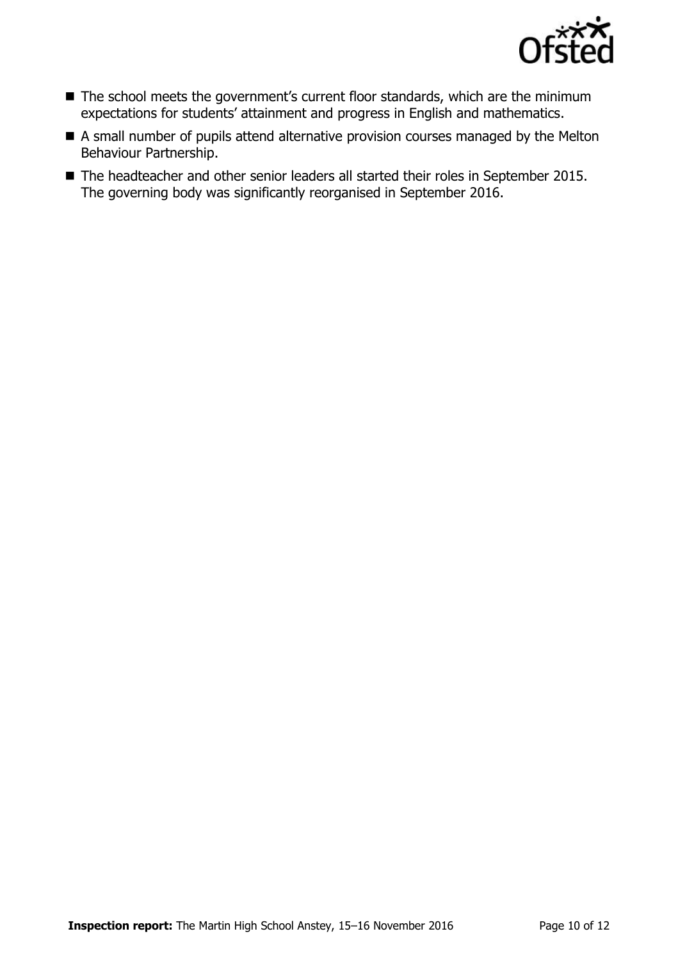

- The school meets the government's current floor standards, which are the minimum expectations for students' attainment and progress in English and mathematics.
- A small number of pupils attend alternative provision courses managed by the Melton Behaviour Partnership.
- The headteacher and other senior leaders all started their roles in September 2015. The governing body was significantly reorganised in September 2016.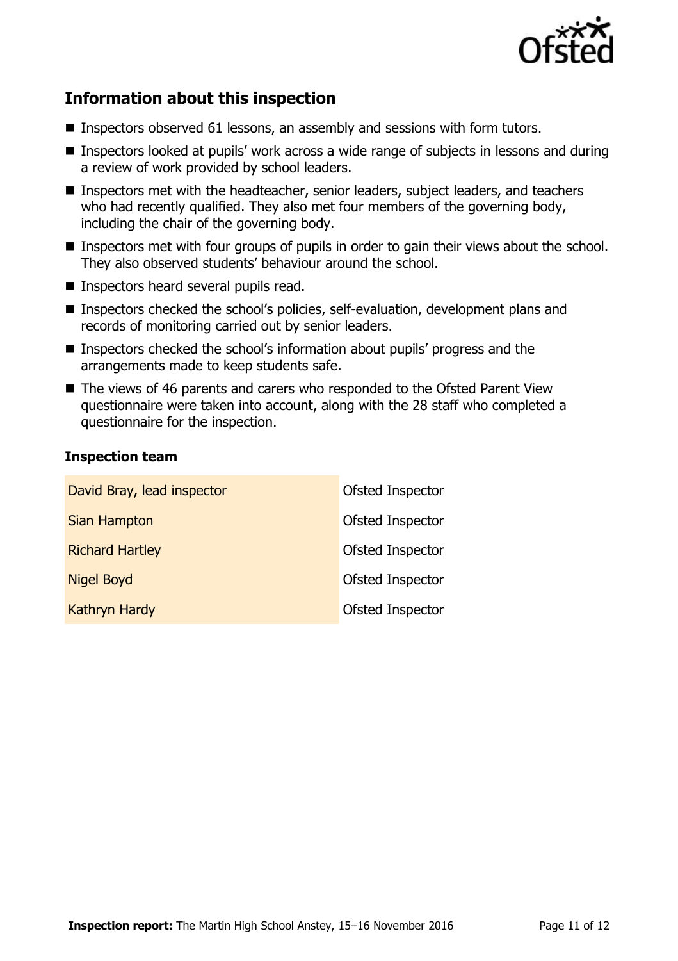

# **Information about this inspection**

- Inspectors observed 61 lessons, an assembly and sessions with form tutors.
- Inspectors looked at pupils' work across a wide range of subjects in lessons and during a review of work provided by school leaders.
- Inspectors met with the headteacher, senior leaders, subject leaders, and teachers who had recently qualified. They also met four members of the governing body, including the chair of the governing body.
- **Inspectors met with four groups of pupils in order to gain their views about the school.** They also observed students' behaviour around the school.
- **Inspectors heard several pupils read.**
- Inspectors checked the school's policies, self-evaluation, development plans and records of monitoring carried out by senior leaders.
- Inspectors checked the school's information about pupils' progress and the arrangements made to keep students safe.
- The views of 46 parents and carers who responded to the Ofsted Parent View questionnaire were taken into account, along with the 28 staff who completed a questionnaire for the inspection.

#### **Inspection team**

| David Bray, lead inspector | Ofsted Inspector |
|----------------------------|------------------|
| Sian Hampton               | Ofsted Inspector |
| <b>Richard Hartley</b>     | Ofsted Inspector |
| <b>Nigel Boyd</b>          | Ofsted Inspector |
| Kathryn Hardy              | Ofsted Inspector |